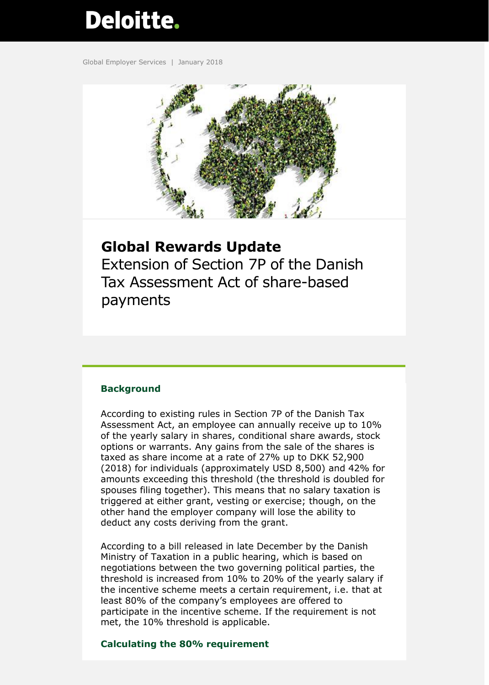# Deloitte.

Global Employer Services | January 2018



### **Global Rewards Update**

Extension of Section 7P of the Danish Tax Assessment Act of share-based payments

#### **Background**

According to existing rules in Section 7P of the Danish Tax Assessment Act, an employee can annually receive up to 10% of the yearly salary in shares, conditional share awards, stock options or warrants. Any gains from the sale of the shares is taxed as share income at a rate of 27% up to DKK 52,900 (2018) for individuals (approximately USD 8,500) and 42% for amounts exceeding this threshold (the threshold is doubled for spouses filing together). This means that no salary taxation is triggered at either grant, vesting or exercise; though, on the other hand the employer company will lose the ability to deduct any costs deriving from the grant.

According to a bill released in late December by the Danish Ministry of Taxation in a public hearing, which is based on negotiations between the two governing political parties, the threshold is increased from 10% to 20% of the yearly salary if the incentive scheme meets a certain requirement, i.e. that at least 80% of the company's employees are offered to participate in the incentive scheme. If the requirement is not met, the 10% threshold is applicable.

#### **Calculating the 80% requirement**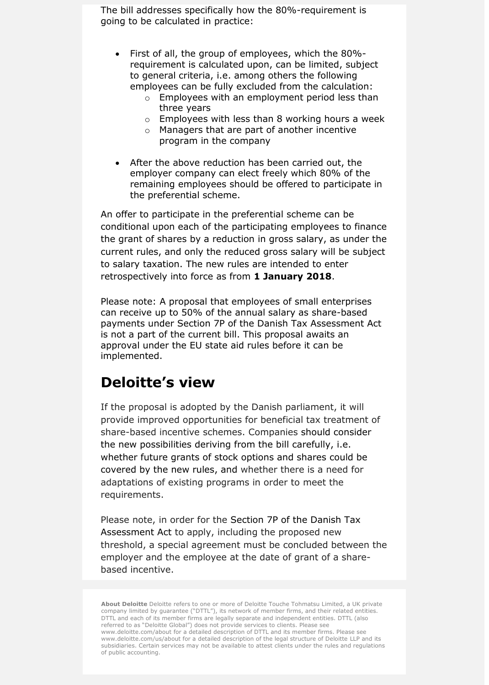The bill addresses specifically how the 80%-requirement is going to be calculated in practice:

- First of all, the group of employees, which the 80% requirement is calculated upon, can be limited, subject to general criteria, i.e. among others the following employees can be fully excluded from the calculation:
	- o Employees with an employment period less than three years
	- $\circ$  Employees with less than 8 working hours a week
	- o Managers that are part of another incentive program in the company
- After the above reduction has been carried out, the employer company can elect freely which 80% of the remaining employees should be offered to participate in the preferential scheme.

An offer to participate in the preferential scheme can be conditional upon each of the participating employees to finance the grant of shares by a reduction in gross salary, as under the current rules, and only the reduced gross salary will be subject to salary taxation. The new rules are intended to enter retrospectively into force as from **1 January 2018**.

Please note: A proposal that employees of small enterprises can receive up to 50% of the annual salary as share-based payments under Section 7P of the Danish Tax Assessment Act is not a part of the current bill. This proposal awaits an approval under the EU state aid rules before it can be implemented.

## **Deloitte's view**

If the proposal is adopted by the Danish parliament, it will provide improved opportunities for beneficial tax treatment of share-based incentive schemes. Companies should consider the new possibilities deriving from the bill carefully, i.e. whether future grants of stock options and shares could be covered by the new rules, and whether there is a need for adaptations of existing programs in order to meet the requirements.

Please note, in order for the Section 7P of the Danish Tax Assessment Act to apply, including the proposed new threshold, a special agreement must be concluded between the employer and the employee at the date of grant of a sharebased incentive.

**About Deloitte** Deloitte refers to one or more of Deloitte Touche Tohmatsu Limited, a UK private company limited by guarantee ("DTTL"), its network of member firms, and their related entities. DTTL and each of its member firms are legally separate and independent entities. DTTL (also referred to as "Deloitte Global") does not provide services to clients. Please see www.deloitte.com/about for a detailed description of DTTL and its member firms. Please see www.deloitte.com/us/about for a detailed description of the legal structure of Deloitte LLP and its subsidiaries. Certain services may not be available to attest clients under the rules and regulations of public accounting.